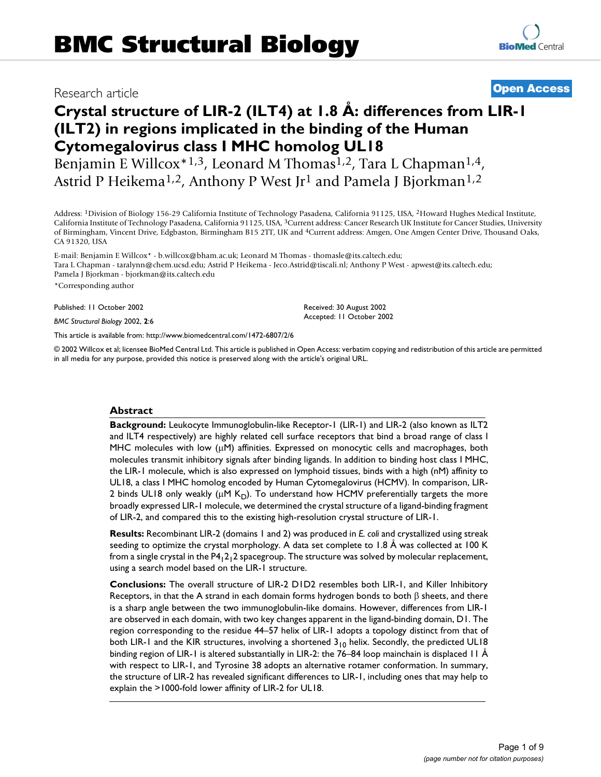# Besearch article **Biology 2002, 2002, 2002, 2003, 2002, 2003, 2002, 2003, 2003, 2003, 2003, 2003, 2003, 2003, 200**

# **Crystal structure of LIR-2 (ILT4) at 1.8 Å: differences from LIR-1 (ILT2) in regions implicated in the binding of the Human Cytomegalovirus class I MHC homolog UL18**

Benjamin E Willcox<sup>\*1,3</sup>, Leonard M Thomas<sup>1,2</sup>, Tara L Chapman<sup>1,4</sup>, Astrid P Heikema<sup>1,2</sup>, Anthony P West Jr<sup>1</sup> and Pamela J Bjorkman<sup>1,2</sup>

Address: 1Division of Biology 156-29 California Institute of Technology Pasadena, California 91125, USA, 2Howard Hughes Medical Institute, California Institute of Technology Pasadena, California 91125, USA, 3Current address: Cancer Research UK Institute for Cancer Studies, University of Birmingham, Vincent Drive, Edgbaston, Birmingham B15 2TT, UK and 4Current address: Amgen, One Amgen Center Drive, Thousand Oaks, CA 91320, USA

E-mail: Benjamin E Willcox\* - b.willcox@bham.ac.uk; Leonard M Thomas - thomasle@its.caltech.edu; Tara L Chapman - taralynn@chem.ucsd.edu; Astrid P Heikema - Jeco.Astrid@tiscali.nl; Anthony P West - apwest@its.caltech.edu; Pamela J Bjorkman - bjorkman@its.caltech.edu

\*Corresponding author

Published: 11 October 2002

*BMC Structural Biology* 2002, **2**:6

[This article is available from: http://www.biomedcentral.com/1472-6807/2/6](http://www.biomedcentral.com/1472-6807/2/6)

© 2002 Willcox et al; licensee BioMed Central Ltd. This article is published in Open Access: verbatim copying and redistribution of this article are permitted in all media for any purpose, provided this notice is preserved along with the article's original URL.

Received: 30 August 2002 Accepted: 11 October 2002

#### **Abstract**

**Background:** Leukocyte Immunoglobulin-like Receptor-1 (LIR-1) and LIR-2 (also known as ILT2 and ILT4 respectively) are highly related cell surface receptors that bind a broad range of class I MHC molecules with low  $(\mu M)$  affinities. Expressed on monocytic cells and macrophages, both molecules transmit inhibitory signals after binding ligands. In addition to binding host class I MHC, the LIR-1 molecule, which is also expressed on lymphoid tissues, binds with a high (nM) affinity to UL18, a class I MHC homolog encoded by Human Cytomegalovirus (HCMV). In comparison, LIR-2 binds UL18 only weakly ( $\mu$ M K<sub>D</sub>). To understand how HCMV preferentially targets the more broadly expressed LIR-1 molecule, we determined the crystal structure of a ligand-binding fragment of LIR-2, and compared this to the existing high-resolution crystal structure of LIR-1.

**Results:** Recombinant LIR-2 (domains 1 and 2) was produced in *E. coli* and crystallized using streak seeding to optimize the crystal morphology. A data set complete to 1.8 Å was collected at 100 K from a single crystal in the  $P4_12_12$  spacegroup. The structure was solved by molecular replacement, using a search model based on the LIR-1 structure.

**Conclusions:** The overall structure of LIR-2 D1D2 resembles both LIR-1, and Killer Inhibitory Receptors, in that the A strand in each domain forms hydrogen bonds to both  $\beta$  sheets, and there is a sharp angle between the two immunoglobulin-like domains. However, differences from LIR-1 are observed in each domain, with two key changes apparent in the ligand-binding domain, D1. The region corresponding to the residue 44–57 helix of LIR-1 adopts a topology distinct from that of both LIR-1 and the KIR structures, involving a shortened  $3_{10}$  helix. Secondly, the predicted UL18 binding region of LIR-1 is altered substantially in LIR-2: the 76–84 loop mainchain is displaced 11 Å with respect to LIR-1, and Tyrosine 38 adopts an alternative rotamer conformation. In summary, the structure of LIR-2 has revealed significant differences to LIR-1, including ones that may help to explain the >1000-fold lower affinity of LIR-2 for UL18.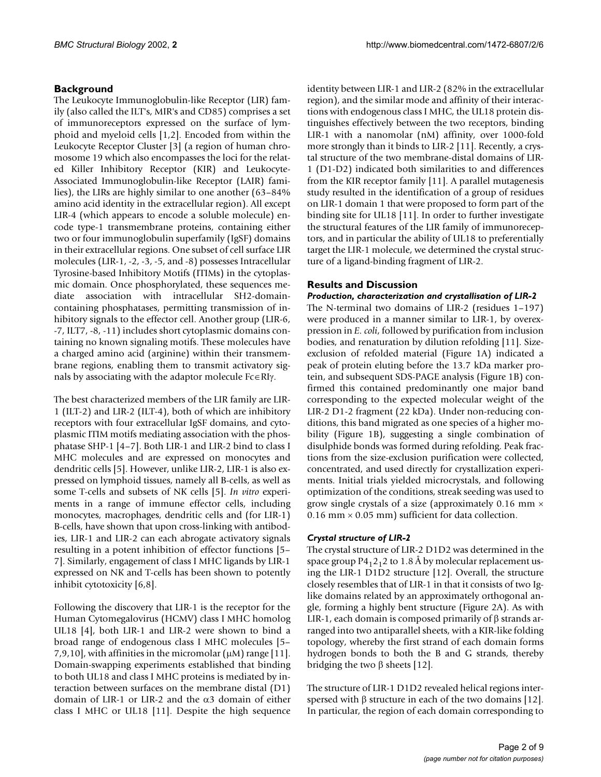# **Background**

The Leukocyte Immunoglobulin-like Receptor (LIR) family (also called the ILT's, MIR's and CD85) comprises a set of immunoreceptors expressed on the surface of lymphoid and myeloid cells [1,2]. Encoded from within the Leukocyte Receptor Cluster [3] (a region of human chromosome 19 which also encompasses the loci for the related Killer Inhibitory Receptor (KIR) and Leukocyte-Associated Immunoglobulin-like Receptor (LAIR) families), the LIRs are highly similar to one another (63–84% amino acid identity in the extracellular region). All except LIR-4 (which appears to encode a soluble molecule) encode type-1 transmembrane proteins, containing either two or four immunoglobulin superfamily (IgSF) domains in their extracellular regions. One subset of cell surface LIR molecules (LIR-1, -2, -3, -5, and -8) possesses Intracellular Tyrosine-based Inhibitory Motifs (ITIMs) in the cytoplasmic domain. Once phosphorylated, these sequences mediate association with intracellular SH2-domaincontaining phosphatases, permitting transmission of inhibitory signals to the effector cell. Another group (LIR-6, -7, ILT7, -8, -11) includes short cytoplasmic domains containing no known signaling motifs. These molecules have a charged amino acid (arginine) within their transmembrane regions, enabling them to transmit activatory signals by associating with the adaptor molecule  $Fc \in RI$ .

The best characterized members of the LIR family are LIR-1 (ILT-2) and LIR-2 (ILT-4), both of which are inhibitory receptors with four extracellular IgSF domains, and cytoplasmic ITIM motifs mediating association with the phosphatase SHP-1 [4–7]. Both LIR-1 and LIR-2 bind to class I MHC molecules and are expressed on monocytes and dendritic cells [5]. However, unlike LIR-2, LIR-1 is also expressed on lymphoid tissues, namely all B-cells, as well as some T-cells and subsets of NK cells [5]. *In vitro* experiments in a range of immune effector cells, including monocytes, macrophages, dendritic cells and (for LIR-1) B-cells, have shown that upon cross-linking with antibodies, LIR-1 and LIR-2 can each abrogate activatory signals resulting in a potent inhibition of effector functions [5– 7]. Similarly, engagement of class I MHC ligands by LIR-1 expressed on NK and T-cells has been shown to potently inhibit cytotoxicity [6,8].

Following the discovery that LIR-1 is the receptor for the Human Cytomegalovirus (HCMV) class I MHC homolog UL18 [4], both LIR-1 and LIR-2 were shown to bind a broad range of endogenous class I MHC molecules [5– 7,9,10], with affinities in the micromolar  $(\mu M)$  range [11]. Domain-swapping experiments established that binding to both UL18 and class I MHC proteins is mediated by interaction between surfaces on the membrane distal (D1) domain of LIR-1 or LIR-2 and the  $\alpha$ 3 domain of either class I MHC or UL18 [11]. Despite the high sequence

identity between LIR-1 and LIR-2 (82% in the extracellular region), and the similar mode and affinity of their interactions with endogenous class I MHC, the UL18 protein distinguishes effectively between the two receptors, binding LIR-1 with a nanomolar (nM) affinity, over 1000-fold more strongly than it binds to LIR-2 [11]. Recently, a crystal structure of the two membrane-distal domains of LIR-1 (D1-D2) indicated both similarities to and differences from the KIR receptor family [11]. A parallel mutagenesis study resulted in the identification of a group of residues on LIR-1 domain 1 that were proposed to form part of the binding site for UL18 [11]. In order to further investigate the structural features of the LIR family of immunoreceptors, and in particular the ability of UL18 to preferentially target the LIR-1 molecule, we determined the crystal structure of a ligand-binding fragment of LIR-2.

# **Results and Discussion**

# *Production, characterization and crystallisation of LIR-2*

The N-terminal two domains of LIR-2 (residues 1–197) were produced in a manner similar to LIR-1, by overexpression in *E. coli*, followed by purification from inclusion bodies, and renaturation by dilution refolding [11]. Sizeexclusion of refolded material (Figure [1A](#page-2-0)) indicated a peak of protein eluting before the 13.7 kDa marker protein, and subsequent SDS-PAGE analysis (Figure [1](#page-2-0)B) confirmed this contained predominantly one major band corresponding to the expected molecular weight of the LIR-2 D1-2 fragment (22 kDa). Under non-reducing conditions, this band migrated as one species of a higher mobility (Figure [1B](#page-2-0)), suggesting a single combination of disulphide bonds was formed during refolding. Peak fractions from the size-exclusion purification were collected, concentrated, and used directly for crystallization experiments. Initial trials yielded microcrystals, and following optimization of the conditions, streak seeding was used to grow single crystals of a size (approximately 0.16 mm  $\times$ 0.16 mm  $\times$  0.05 mm) sufficient for data collection.

# *Crystal structure of LIR-2*

The crystal structure of LIR-2 D1D2 was determined in the space group  $P_12_12$  to 1.8 Å by molecular replacement using the LIR-1 D1D2 structure [12]. Overall, the structure closely resembles that of LIR-1 in that it consists of two Iglike domains related by an approximately orthogonal angle, forming a highly bent structure (Figure 2A). As with LIR-1, each domain is composed primarily of  $\beta$  strands arranged into two antiparallel sheets, with a KIR-like folding topology, whereby the first strand of each domain forms hydrogen bonds to both the B and G strands, thereby bridging the two  $\beta$  sheets [12].

The structure of LIR-1 D1D2 revealed helical regions interspersed with  $\beta$  structure in each of the two domains [12]. In particular, the region of each domain corresponding to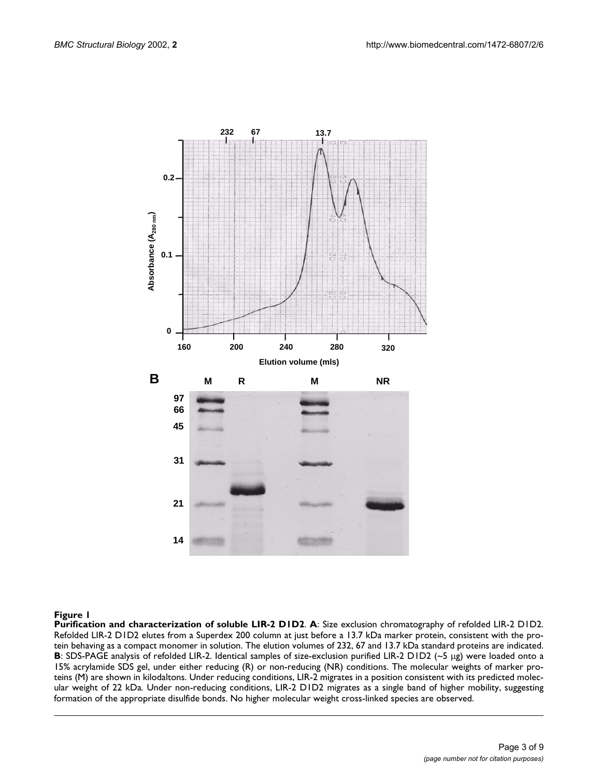

#### <span id="page-2-0"></span>**Figure 1**

**Purification and characterization of soluble LIR-2 D1D2**. **A**: Size exclusion chromatography of refolded LIR-2 D1D2. Refolded LIR-2 D1D2 elutes from a Superdex 200 column at just before a 13.7 kDa marker protein, consistent with the protein behaving as a compact monomer in solution. The elution volumes of 232, 67 and 13.7 kDa standard proteins are indicated. **B**: SDS-PAGE analysis of refolded LIR-2. Identical samples of size-exclusion purified LIR-2 D1D2 (~5 µg) were loaded onto a 15% acrylamide SDS gel, under either reducing (R) or non-reducing (NR) conditions. The molecular weights of marker proteins (M) are shown in kilodaltons. Under reducing conditions, LIR-2 migrates in a position consistent with its predicted molecular weight of 22 kDa. Under non-reducing conditions, LIR-2 D1D2 migrates as a single band of higher mobility, suggesting formation of the appropriate disulfide bonds. No higher molecular weight cross-linked species are observed.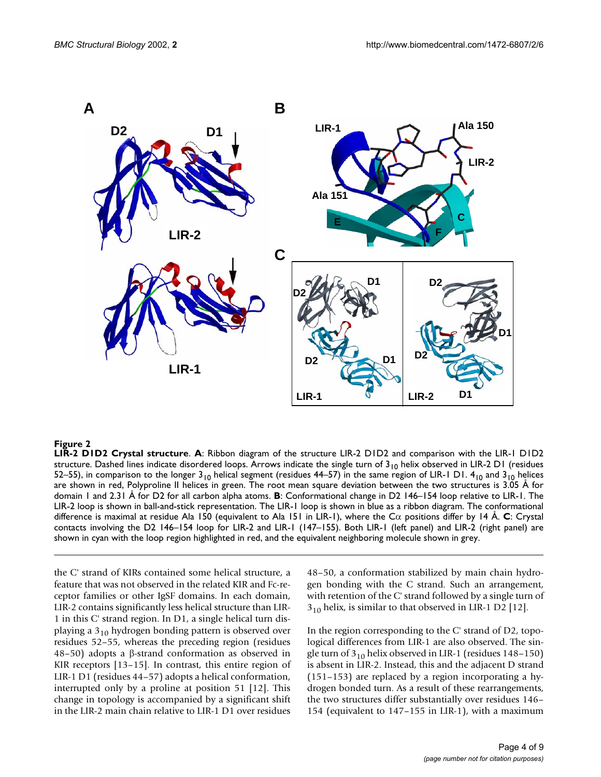

#### **Figure 2**

**LIR-2 D1D2 Crystal structure**. **A**: Ribbon diagram of the structure LIR-2 D1D2 and comparison with the LIR-1 D1D2 structure. Dashed lines indicate disordered loops. Arrows indicate the single turn of  $3_{10}$  helix observed in LIR-2 D1 (residues 52–55), in comparison to the longer  $3_{10}$  helical segment (residues 44–57) in the same region of LIR-1 D1.  $4_{10}$  and  $3_{10}$  helices are shown in red, Polyproline II helices in green. The root mean square deviation between the two structures is 3.05 Å for domain 1 and 2.31 Å for D2 for all carbon alpha atoms. **B**: Conformational change in D2 146–154 loop relative to LIR-1. The LIR-2 loop is shown in ball-and-stick representation. The LIR-1 loop is shown in blue as a ribbon diagram. The conformational difference is maximal at residue Ala 150 (equivalent to Ala 151 in LIR-1), where the  $C\alpha$  positions differ by 14 A.  $C$ : Crystal contacts involving the D2 146–154 loop for LIR-2 and LIR-1 (147–155). Both LIR-1 (left panel) and LIR-2 (right panel) are shown in cyan with the loop region highlighted in red, and the equivalent neighboring molecule shown in grey.

the C' strand of KIRs contained some helical structure, a feature that was not observed in the related KIR and Fc-receptor families or other IgSF domains. In each domain, LIR-2 contains significantly less helical structure than LIR-1 in this C' strand region. In D1, a single helical turn displaying a  $3_{10}$  hydrogen bonding pattern is observed over residues 52–55, whereas the preceding region (residues  $48-50$ ) adopts a  $\beta$ -strand conformation as observed in KIR receptors [13–15]. In contrast, this entire region of LIR-1 D1 (residues 44–57) adopts a helical conformation, interrupted only by a proline at position 51 [12]. This change in topology is accompanied by a significant shift in the LIR-2 main chain relative to LIR-1 D1 over residues 48–50, a conformation stabilized by main chain hydrogen bonding with the C strand. Such an arrangement, with retention of the C' strand followed by a single turn of  $3_{10}$  helix, is similar to that observed in LIR-1 D2 [12].

In the region corresponding to the C' strand of D2, topological differences from LIR-1 are also observed. The single turn of  $3<sub>10</sub>$  helix observed in LIR-1 (residues 148–150) is absent in LIR-2. Instead, this and the adjacent D strand (151–153) are replaced by a region incorporating a hydrogen bonded turn. As a result of these rearrangements, the two structures differ substantially over residues 146– 154 (equivalent to 147–155 in LIR-1), with a maximum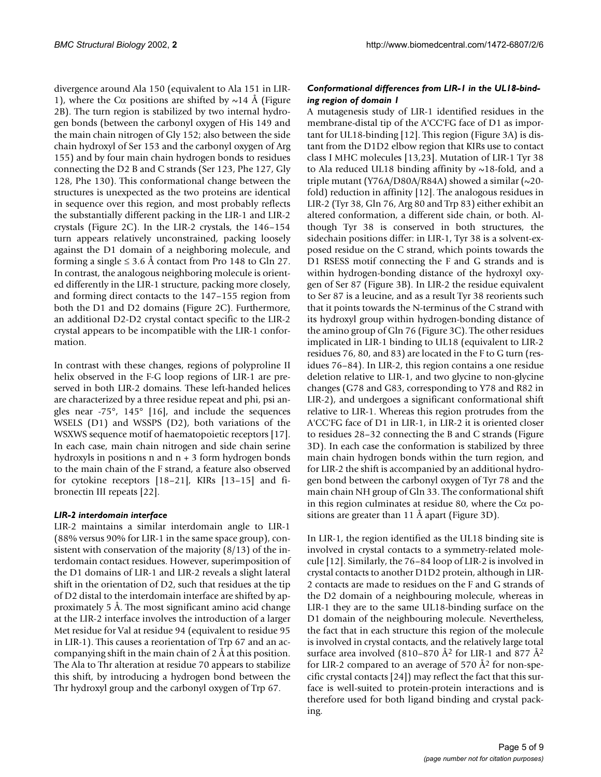divergence around Ala 150 (equivalent to Ala 151 in LIR-1), where the C $\alpha$  positions are shifted by  $\sim$ 14 Å (Figure 2B). The turn region is stabilized by two internal hydrogen bonds (between the carbonyl oxygen of His 149 and the main chain nitrogen of Gly 152; also between the side chain hydroxyl of Ser 153 and the carbonyl oxygen of Arg 155) and by four main chain hydrogen bonds to residues connecting the D2 B and C strands (Ser 123, Phe 127, Gly 128, Phe 130). This conformational change between the structures is unexpected as the two proteins are identical in sequence over this region, and most probably reflects the substantially different packing in the LIR-1 and LIR-2 crystals (Figure 2C). In the LIR-2 crystals, the 146–154 turn appears relatively unconstrained, packing loosely against the D1 domain of a neighboring molecule, and forming a single  $\leq 3.6$  Å contact from Pro 148 to Gln 27. In contrast, the analogous neighboring molecule is oriented differently in the LIR-1 structure, packing more closely, and forming direct contacts to the 147–155 region from both the D1 and D2 domains (Figure 2C). Furthermore, an additional D2-D2 crystal contact specific to the LIR-2 crystal appears to be incompatible with the LIR-1 conformation.

In contrast with these changes, regions of polyproline II helix observed in the F-G loop regions of LIR-1 are preserved in both LIR-2 domains. These left-handed helices are characterized by a three residue repeat and phi, psi angles near  $-75^\circ$ ,  $145^\circ$  [16], and include the sequences WSELS (D1) and WSSPS (D2), both variations of the WSXWS sequence motif of haematopoietic receptors [17]. In each case, main chain nitrogen and side chain serine hydroxyls in positions n and n + 3 form hydrogen bonds to the main chain of the F strand, a feature also observed for cytokine receptors [18–21], KIRs [13–15] and fibronectin III repeats [22].

#### *LIR-2 interdomain interface*

LIR-2 maintains a similar interdomain angle to LIR-1 (88% versus 90% for LIR-1 in the same space group), consistent with conservation of the majority (8/13) of the interdomain contact residues. However, superimposition of the D1 domains of LIR-1 and LIR-2 reveals a slight lateral shift in the orientation of D2, such that residues at the tip of D2 distal to the interdomain interface are shifted by approximately 5 Å. The most significant amino acid change at the LIR-2 interface involves the introduction of a larger Met residue for Val at residue 94 (equivalent to residue 95 in LIR-1). This causes a reorientation of Trp 67 and an accompanying shift in the main chain of 2 Å at this position. The Ala to Thr alteration at residue 70 appears to stabilize this shift, by introducing a hydrogen bond between the Thr hydroxyl group and the carbonyl oxygen of Trp 67.

# *Conformational differences from LIR-1 in the UL18-binding region of domain 1*

A mutagenesis study of LIR-1 identified residues in the membrane-distal tip of the A'CC'FG face of D1 as important for UL18-binding [12]. This region (Figure [3](#page-5-0)A) is distant from the D1D2 elbow region that KIRs use to contact class I MHC molecules [13,23]. Mutation of LIR-1 Tyr 38 to Ala reduced UL18 binding affinity by  $\sim$ 18-fold, and a triple mutant (Y76A/D80A/R84A) showed a similar  $(\sim 20$ fold) reduction in affinity [12]. The analogous residues in LIR-2 (Tyr 38, Gln 76, Arg 80 and Trp 83) either exhibit an altered conformation, a different side chain, or both. Although Tyr 38 is conserved in both structures, the sidechain positions differ: in LIR-1, Tyr 38 is a solvent-exposed residue on the C strand, which points towards the D1 RSESS motif connecting the F and G strands and is within hydrogen-bonding distance of the hydroxyl oxygen of Ser 87 (Figure [3B](#page-5-0)). In LIR-2 the residue equivalent to Ser 87 is a leucine, and as a result Tyr 38 reorients such that it points towards the N-terminus of the C strand with its hydroxyl group within hydrogen-bonding distance of the amino group of Gln 76 (Figure [3](#page-5-0)C). The other residues implicated in LIR-1 binding to UL18 (equivalent to LIR-2 residues 76, 80, and 83) are located in the F to G turn (residues 76–84). In LIR-2, this region contains a one residue deletion relative to LIR-1, and two glycine to non-glycine changes (G78 and G83, corresponding to Y78 and R82 in LIR-2), and undergoes a significant conformational shift relative to LIR-1. Whereas this region protrudes from the A'CC'FG face of D1 in LIR-1, in LIR-2 it is oriented closer to residues 28–32 connecting the B and C strands (Figure [3](#page-5-0)D). In each case the conformation is stabilized by three main chain hydrogen bonds within the turn region, and for LIR-2 the shift is accompanied by an additional hydrogen bond between the carbonyl oxygen of Tyr 78 and the main chain NH group of Gln 33. The conformational shift in this region culminates at residue 80, where the  $C\alpha$  positions are greater than 11 Å apart (Figure [3](#page-5-0)D).

In LIR-1, the region identified as the UL18 binding site is involved in crystal contacts to a symmetry-related molecule [12]. Similarly, the 76–84 loop of LIR-2 is involved in crystal contacts to another D1D2 protein, although in LIR-2 contacts are made to residues on the F and G strands of the D2 domain of a neighbouring molecule, whereas in LIR-1 they are to the same UL18-binding surface on the D1 domain of the neighbouring molecule. Nevertheless, the fact that in each structure this region of the molecule is involved in crystal contacts, and the relatively large total surface area involved (810–870  $\AA$ <sup>2</sup> for LIR-1 and 877  $\AA$ <sup>2</sup> for LIR-2 compared to an average of 570 Å2 for non-specific crystal contacts [24]) may reflect the fact that this surface is well-suited to protein-protein interactions and is therefore used for both ligand binding and crystal packing.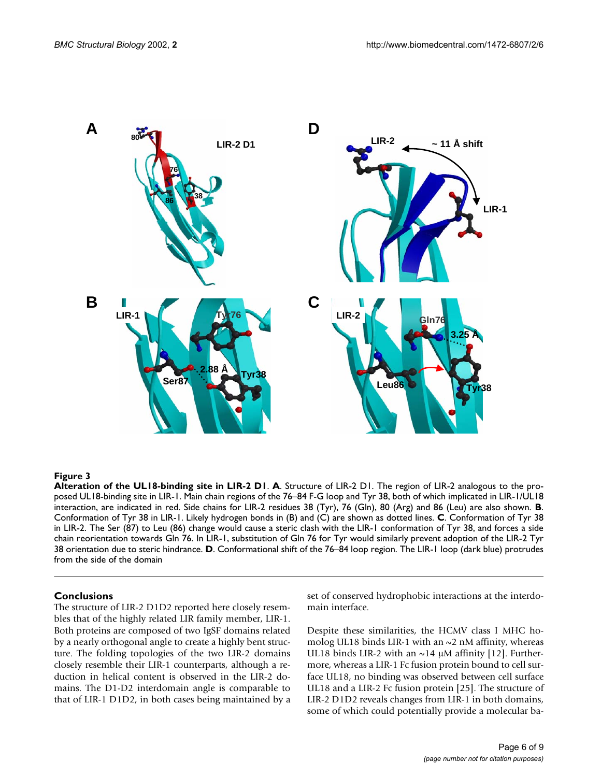

#### <span id="page-5-0"></span>**Figure 3**

**Alteration of the UL18-binding site in LIR-2 D1**. **A**. Structure of LIR-2 D1. The region of LIR-2 analogous to the proposed UL18-binding site in LIR-1. Main chain regions of the 76–84 F-G loop and Tyr 38, both of which implicated in LIR-1/UL18 interaction, are indicated in red. Side chains for LIR-2 residues 38 (Tyr), 76 (Gln), 80 (Arg) and 86 (Leu) are also shown. **B**. Conformation of Tyr 38 in LIR-1. Likely hydrogen bonds in (B) and (C) are shown as dotted lines. **C**. Conformation of Tyr 38 in LIR-2. The Ser (87) to Leu (86) change would cause a steric clash with the LIR-1 conformation of Tyr 38, and forces a side chain reorientation towards Gln 76. In LIR-1, substitution of Gln 76 for Tyr would similarly prevent adoption of the LIR-2 Tyr 38 orientation due to steric hindrance. **D**. Conformational shift of the 76–84 loop region. The LIR-1 loop (dark blue) protrudes from the side of the domain

#### **Conclusions**

The structure of LIR-2 D1D2 reported here closely resembles that of the highly related LIR family member, LIR-1. Both proteins are composed of two IgSF domains related by a nearly orthogonal angle to create a highly bent structure. The folding topologies of the two LIR-2 domains closely resemble their LIR-1 counterparts, although a reduction in helical content is observed in the LIR-2 domains. The D1-D2 interdomain angle is comparable to that of LIR-1 D1D2, in both cases being maintained by a set of conserved hydrophobic interactions at the interdomain interface.

Despite these similarities, the HCMV class I MHC homolog UL18 binds LIR-1 with an  $\sim$ 2 nM affinity, whereas UL18 binds LIR-2 with an  $\sim$ 14 µM affinity [12]. Furthermore, whereas a LIR-1 Fc fusion protein bound to cell surface UL18, no binding was observed between cell surface UL18 and a LIR-2 Fc fusion protein [25]. The structure of LIR-2 D1D2 reveals changes from LIR-1 in both domains, some of which could potentially provide a molecular ba-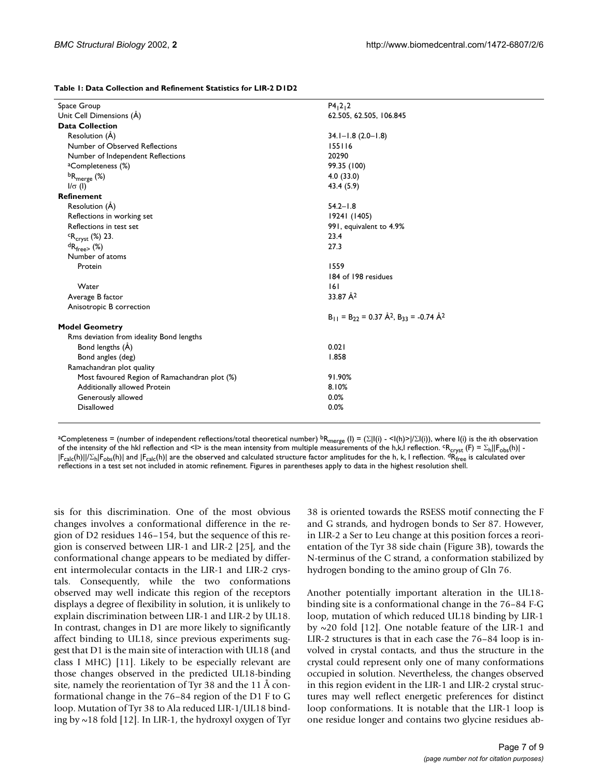| Table 1: Data Collection and Refinement Statistics for LIR-2 D1D2 |  |
|-------------------------------------------------------------------|--|
|-------------------------------------------------------------------|--|

| Space Group                                   | P4, 2, 2                                                            |
|-----------------------------------------------|---------------------------------------------------------------------|
| Unit Cell Dimensions (Å)                      | 62.505, 62.505, 106.845                                             |
| <b>Data Collection</b>                        |                                                                     |
| Resolution (Å)                                | $34.1 - 1.8$ (2.0-1.8)                                              |
| Number of Observed Reflections                | 155116                                                              |
| Number of Independent Reflections             | 20290                                                               |
| <sup>a</sup> Completeness (%)                 | 99.35 (100)                                                         |
| ${}^{\text{b}}\mathsf{R}_{\text{merge}}$ (%)  | 4.0(33.0)                                                           |
| $I/\sigma$ (I)                                | 43.4 (5.9)                                                          |
| Refinement                                    |                                                                     |
| Resolution (A)                                | $54.2 - 1.8$                                                        |
| Reflections in working set                    | 19241 (1405)                                                        |
| Reflections in test set                       | 991, equivalent to 4.9%                                             |
| ${}^{c}R_{cryst}$ (%) 23.                     | 23.4                                                                |
| ${}^dR_{\text{free}}$ (%)                     | 27.3                                                                |
| Number of atoms                               |                                                                     |
| Protein                                       | 1559                                                                |
|                                               | 184 of 198 residues                                                 |
| Water                                         | 6                                                                   |
| Average B factor                              | 33.87 Å <sup>2</sup>                                                |
| Anisotropic B correction                      |                                                                     |
|                                               | $B_{11} = B_{22} = 0.37 \text{ Å}^2$ , $B_{33} = -0.74 \text{ Å}^2$ |
| <b>Model Geometry</b>                         |                                                                     |
| Rms deviation from ideality Bond lengths      |                                                                     |
| Bond lengths (Å)                              | 0.021                                                               |
| Bond angles (deg)                             | 1.858                                                               |
| Ramachandran plot quality                     |                                                                     |
| Most favoured Region of Ramachandran plot (%) | 91.90%                                                              |
| Additionally allowed Protein                  | 8.10%                                                               |
| Generously allowed                            | 0.0%                                                                |
| <b>Disallowed</b>                             | 0.0%                                                                |
|                                               |                                                                     |

aCompleteness = (number of independent reflections/total theoretical number) <sup>b</sup>R<sub>merge</sub> (l) = (Σ|I(i) - <I(h)>|/ΣI(i)), where I(i) is the *i*th observation<br>of the intensity of the hkl reflection and <I> is the mean inten  $|F_{\rm calc}(h)|/ \Sigma_h |F_{\rm obs}(h)|$  and  $|F_{\rm calc}(h)|$  are the observed and calculated structure factor amplitudes for the h, k, l reflection.  $\rm{dR}_{free}$  is calculated over reflections in a test set not included in atomic refinement. Figures in parentheses apply to data in the highest resolution shell.

sis for this discrimination. One of the most obvious changes involves a conformational difference in the region of D2 residues 146–154, but the sequence of this region is conserved between LIR-1 and LIR-2 [25], and the conformational change appears to be mediated by different intermolecular contacts in the LIR-1 and LIR-2 crystals. Consequently, while the two conformations observed may well indicate this region of the receptors displays a degree of flexibility in solution, it is unlikely to explain discrimination between LIR-1 and LIR-2 by UL18. In contrast, changes in D1 are more likely to significantly affect binding to UL18, since previous experiments suggest that D1 is the main site of interaction with UL18 (and class I MHC) [11]. Likely to be especially relevant are those changes observed in the predicted UL18-binding site, namely the reorientation of Tyr 38 and the 11 Å conformational change in the 76–84 region of the D1 F to G loop. Mutation of Tyr 38 to Ala reduced LIR-1/UL18 binding by  $\sim$  18 fold [12]. In LIR-1, the hydroxyl oxygen of Tyr 38 is oriented towards the RSESS motif connecting the F and G strands, and hydrogen bonds to Ser 87. However, in LIR-2 a Ser to Leu change at this position forces a reorientation of the Tyr 38 side chain (Figure [3](#page-5-0)B), towards the N-terminus of the C strand, a conformation stabilized by hydrogen bonding to the amino group of Gln 76.

Another potentially important alteration in the UL18 binding site is a conformational change in the 76–84 F-G loop, mutation of which reduced UL18 binding by LIR-1 by  $\sim$ 20 fold [12]. One notable feature of the LIR-1 and LIR-2 structures is that in each case the 76–84 loop is involved in crystal contacts, and thus the structure in the crystal could represent only one of many conformations occupied in solution. Nevertheless, the changes observed in this region evident in the LIR-1 and LIR-2 crystal structures may well reflect energetic preferences for distinct loop conformations. It is notable that the LIR-1 loop is one residue longer and contains two glycine residues ab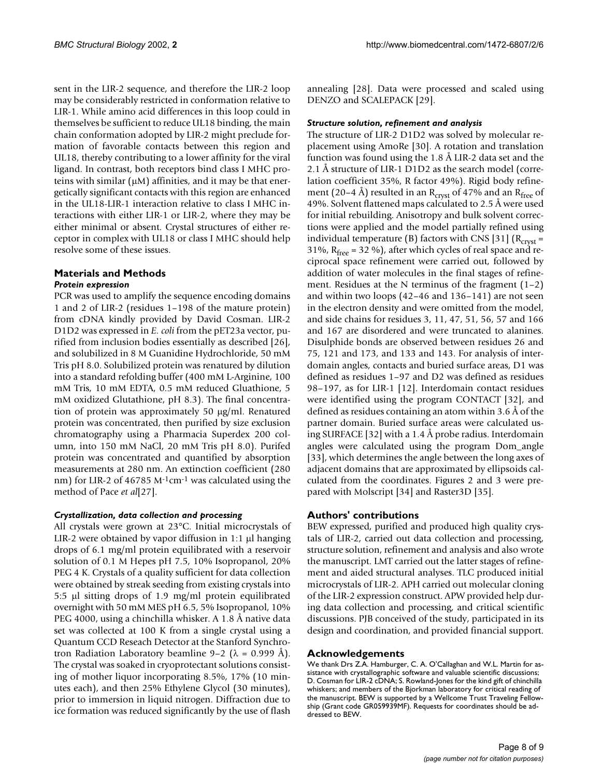sent in the LIR-2 sequence, and therefore the LIR-2 loop may be considerably restricted in conformation relative to LIR-1. While amino acid differences in this loop could in themselves be sufficient to reduce UL18 binding, the main chain conformation adopted by LIR-2 might preclude formation of favorable contacts between this region and UL18, thereby contributing to a lower affinity for the viral ligand. In contrast, both receptors bind class I MHC proteins with similar  $(\mu M)$  affinities, and it may be that energetically significant contacts with this region are enhanced in the UL18-LIR-1 interaction relative to class I MHC interactions with either LIR-1 or LIR-2, where they may be either minimal or absent. Crystal structures of either receptor in complex with UL18 or class I MHC should help resolve some of these issues.

### **Materials and Methods** *Protein expression*

PCR was used to amplify the sequence encoding domains 1 and 2 of LIR-2 (residues 1–198 of the mature protein) from cDNA kindly provided by David Cosman. LIR-2 D1D2 was expressed in *E. coli* from the pET23a vector, purified from inclusion bodies essentially as described [26], and solubilized in 8 M Guanidine Hydrochloride, 50 mM Tris pH 8.0. Solubilized protein was renatured by dilution into a standard refolding buffer (400 mM L-Arginine, 100 mM Tris, 10 mM EDTA, 0.5 mM reduced Gluathione, 5 mM oxidized Glutathione, pH 8.3). The final concentration of protein was approximately 50 µg/ml. Renatured protein was concentrated, then purified by size exclusion chromatography using a Pharmacia Superdex 200 column, into 150 mM NaCl, 20 mM Tris pH 8.0). Purifed protein was concentrated and quantified by absorption measurements at 280 nm. An extinction coefficient (280 nm) for LIR-2 of 46785 M<sup>-1</sup>cm<sup>-1</sup> was calculated using the method of Pace *et al*[27].

# *Crystallization, data collection and processing*

All crystals were grown at 23°C. Initial microcrystals of LIR-2 were obtained by vapor diffusion in  $1:1$  µl hanging drops of 6.1 mg/ml protein equilibrated with a reservoir solution of 0.1 M Hepes pH 7.5, 10% Isopropanol, 20% PEG 4 K. Crystals of a quality sufficient for data collection were obtained by streak seeding from existing crystals into 5:5  $\mu$ l sitting drops of 1.9 mg/ml protein equilibrated overnight with 50 mM MES pH 6.5, 5% Isopropanol, 10% PEG 4000, using a chinchilla whisker. A 1.8 Å native data set was collected at 100 K from a single crystal using a Quantum CCD Reseach Detector at the Stanford Synchrotron Radiation Laboratory beamline 9–2 ( $\lambda$  = 0.999 Å). The crystal was soaked in cryoprotectant solutions consisting of mother liquor incorporating 8.5%, 17% (10 minutes each), and then 25% Ethylene Glycol (30 minutes), prior to immersion in liquid nitrogen. Diffraction due to ice formation was reduced significantly by the use of flash

annealing [28]. Data were processed and scaled using DENZO and SCALEPACK [29].

#### *Structure solution, refinement and analysis*

The structure of LIR-2 D1D2 was solved by molecular replacement using AmoRe [30]. A rotation and translation function was found using the 1.8 Å LIR-2 data set and the 2.1 Å structure of LIR-1 D1D2 as the search model (correlation coefficient 35%, R factor 49%). Rigid body refinement (20–4 Å) resulted in an R<sub>cryst</sub> of 47% and an R<sub>free</sub> of 49%. Solvent flattened maps calculated to 2.5 Å were used for initial rebuilding. Anisotropy and bulk solvent corrections were applied and the model partially refined using individual temperature (B) factors with CNS [31] ( $R<sub>crvst</sub>$  = 31%,  $R_{\text{free}}$  = 32 %), after which cycles of real space and reciprocal space refinement were carried out, followed by addition of water molecules in the final stages of refinement. Residues at the N terminus of the fragment (1–2) and within two loops (42–46 and 136–141) are not seen in the electron density and were omitted from the model, and side chains for residues 3, 11, 47, 51, 56, 57 and 166 and 167 are disordered and were truncated to alanines. Disulphide bonds are observed between residues 26 and 75, 121 and 173, and 133 and 143. For analysis of interdomain angles, contacts and buried surface areas, D1 was defined as residues 1–97 and D2 was defined as residues 98–197, as for LIR-1 [12]. Interdomain contact residues were identified using the program CONTACT [32], and defined as residues containing an atom within 3.6 Å of the partner domain. Buried surface areas were calculated using SURFACE [32] with a 1.4 Å probe radius. Interdomain angles were calculated using the program Dom\_angle [33], which determines the angle between the long axes of adjacent domains that are approximated by ellipsoids calculated from the coordinates. Figures 2 and [3](#page-5-0) were prepared with Molscript [34] and Raster3D [35].

# **Authors' contributions**

BEW expressed, purified and produced high quality crystals of LIR-2, carried out data collection and processing, structure solution, refinement and analysis and also wrote the manuscript. LMT carried out the latter stages of refinement and aided structural analyses. TLC produced initial microcrystals of LIR-2. APH carried out molecular cloning of the LIR-2 expression construct. APW provided help during data collection and processing, and critical scientific discussions. PJB conceived of the study, participated in its design and coordination, and provided financial support.

# **Acknowledgements**

We thank Drs Z.A. Hamburger, C. A. O'Callaghan and W.L. Martin for assistance with crystallographic software and valuable scientific discussions; D. Cosman for LIR-2 cDNA; S. Rowland-Jones for the kind gift of chinchilla whiskers; and members of the Bjorkman laboratory for critical reading of the manuscript. BEW is supported by a Wellcome Trust Traveling Fellowship (Grant code GR059939MF). Requests for coordinates should be addressed to BEW.